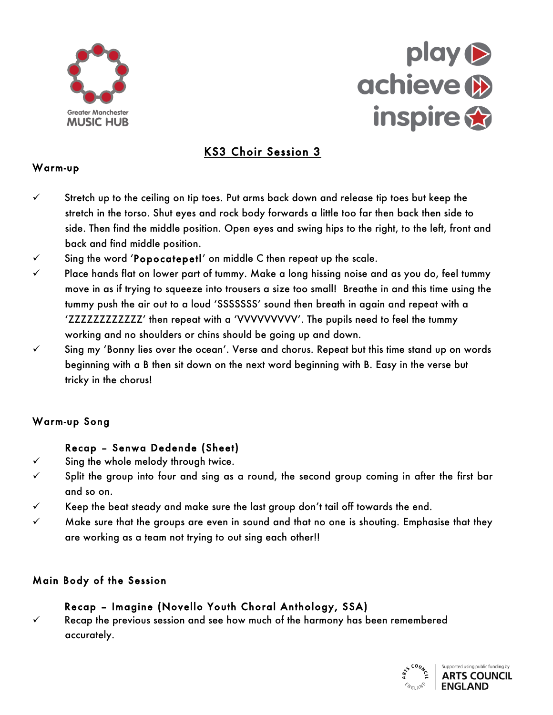



# KS3 Choir Session 3

#### Warm-up

- stretch up to the ceiling on tip toes. Put arms back down and<br>stretch in the torso. Shut eyes and rock body forwards a little<br>side. Then find the middle position. Open eyes and swing hip Stretch up to the ceiling on tip toes. Put arms back down and release tip toes but keep the stretch in the torso. Shut eyes and rock body forwards a little too far then back then side to side. Then find the middle position. Open eyes and swing hips to the right, to the left, front and back and find middle position.
- back and find middle position.<br>Sing the word '**Popocatepet!**' on middle Cthen<br>Place hands flat on lower part of tummy. Make a  $\checkmark$  Sing the word 'Popocatepetl' on middle C then repeat up the scale.
- move in as if trying to squeeze into trousers a size too small! Breathe in and this time using the  $\checkmark$  Place hands flat on lower part of tummy. Make a long hissing noise and as you do, feel tummy tummy push the air out to a loud 'SSSSSSS' sound then breath in again and repeat with a 'ZZZZZZZZZZZZ' then repeat with a 'VVVVVVVV'. The pupils need to feel the tummy working and no shoulders or chins should be going up and down.
- $\checkmark$  Sing my 'Bonny lies over the ocean'. Verse and chorus. Repeat but this time stand up on words beginning with a B then sit down on the next word beginning with B. Easy in the verse but tricky in the chorus!

#### Warm-up Song

## Recap - Senwa Dedende (Sheet)

**ENDEREDALE** 

- Sing the whole melody through twice.
- v Split the group into four and sing as a round, the second group coming in after the first bar and so on.
- $\checkmark$  Keep the beat steady and make sure the last group don't tail off towards the end.
- $\checkmark$  Make sure that the groups are even in sound and that no one is shouting. Emphasise that they are working as a team not trying to out sing each other!!

## Main Body of the Session

## Recap – Imagine (Novello Youth Choral Anthology, SSA)

 $\checkmark$  Recap the previous session and see how much of the harmony has been remembered accurately.